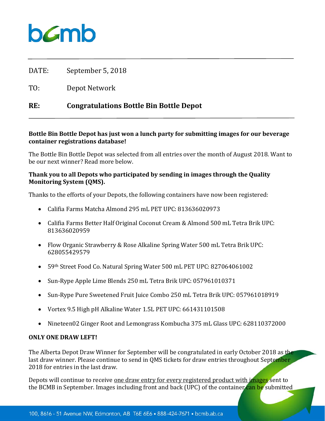

DATE: September 5, 2018

TO: Depot Network

# **RE: Congratulations Bottle Bin Bottle Depot**

## **Bottle Bin Bottle Depot has just won a lunch party for submitting images for our beverage container registrations database!**

The Bottle Bin Bottle Depot was selected from all entries over the month of August 2018. Want to be our next winner? Read more below.

# **Thank you to all Depots who participated by sending in images through the Quality Monitoring System (QMS).**

Thanks to the efforts of your Depots, the following containers have now been registered:

- Califia Farms Matcha Almond 295 mL PET UPC: 813636020973
- Califia Farms Better Half Original Coconut Cream & Almond 500 mL Tetra Brik UPC: 813636020959
- Flow Organic Strawberry & Rose Alkaline Spring Water 500 mL Tetra Brik UPC: 628055429579
- 59th Street Food Co. Natural Spring Water 500 mL PET UPC: 827064061002
- Sun-Rype Apple Lime Blends 250 mL Tetra Brik UPC: 057961010371
- Sun-Rype Pure Sweetened Fruit Juice Combo 250 mL Tetra Brik UPC: 057961018919
- Vortex 9.5 High pH Alkaline Water 1.5L PET UPC: 661431101508
- Nineteen02 Ginger Root and Lemongrass Kombucha 375 mL Glass UPC: 628110372000

#### **ONLY ONE DRAW LEFT!**

The Alberta Depot Draw Winner for September will be congratulated in early October 2018 as the last draw winner. Please continue to send in QMS tickets for draw entries throughout September 2018 for entries in the last draw.

Depots will continue to receive one draw entry for every registered product with images sent to the BCMB in September. Images including front and back (UPC) of the container can be submitted